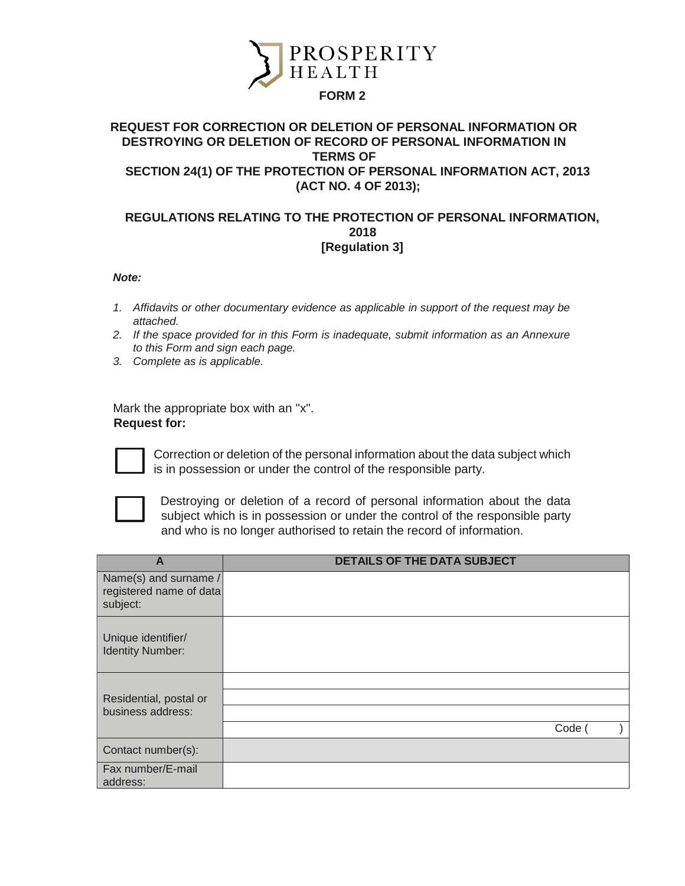

## **FORM 2**

## **REQUEST FOR CORRECTION OR DELETION OF PERSONAL INFORMATION OR DESTROYING OR DELETION OF RECORD OF PERSONAL INFORMATION IN TERMS OF SECTION 24(1) OF THE PROTECTION OF PERSONAL INFORMATION ACT, 2013 (ACT NO. 4 OF 2013);**

## **REGULATIONS RELATING TO THE PROTECTION OF PERSONAL INFORMATION, 2018 [Regulation 3]**

## *Note:*

- *1. Affidavits or other documentary evidence as applicable in support of the request may be attached.*
- *2. If the space provided for in this Form is inadequate, submit information as an Annexure to this Form and sign each page.*
- *3. Complete as is applicable.*

Mark the appropriate box with an "x". **Request for:** 



Correction or deletion of the personal information about the data subject which is in possession or under the control of the responsible party.



Destroying or deletion of a record of personal information about the data subject which is in possession or under the control of the responsible party and who is no longer authorised to retain the record of information.

| A                                                            | <b>DETAILS OF THE DATA SUBJECT</b> |
|--------------------------------------------------------------|------------------------------------|
| Name(s) and surname /<br>registered name of data<br>subject: |                                    |
| Unique identifier/<br><b>Identity Number:</b>                |                                    |
|                                                              |                                    |
| Residential, postal or                                       |                                    |
| business address:                                            |                                    |
|                                                              | Code                               |
| Contact number(s):                                           |                                    |
| Fax number/E-mail                                            |                                    |
| address:                                                     |                                    |